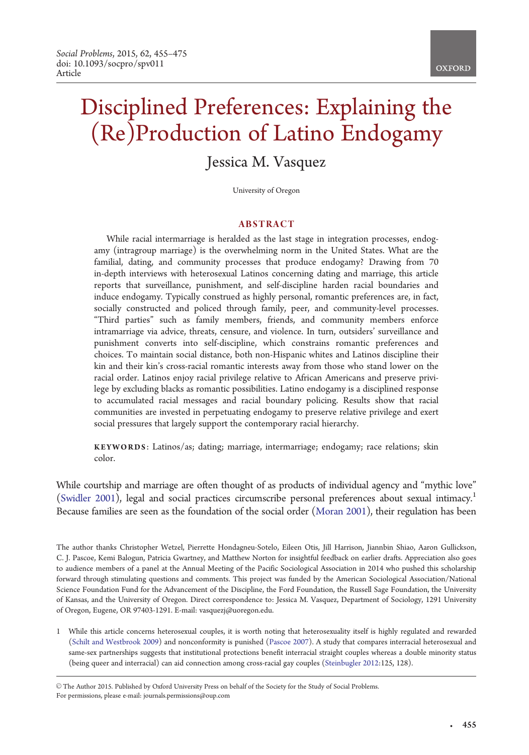# Disciplined Preferences: Explaining the (Re)Production of Latino Endogamy

# Jessica M. Vasquez

University of Oregon

#### ABSTRACT

While racial intermarriage is heralded as the last stage in integration processes, endogamy (intragroup marriage) is the overwhelming norm in the United States. What are the familial, dating, and community processes that produce endogamy? Drawing from 70 in-depth interviews with heterosexual Latinos concerning dating and marriage, this article reports that surveillance, punishment, and self-discipline harden racial boundaries and induce endogamy. Typically construed as highly personal, romantic preferences are, in fact, socially constructed and policed through family, peer, and community-level processes. "Third parties" such as family members, friends, and community members enforce intramarriage via advice, threats, censure, and violence. In turn, outsiders' surveillance and punishment converts into self-discipline, which constrains romantic preferences and choices. To maintain social distance, both non-Hispanic whites and Latinos discipline their kin and their kin's cross-racial romantic interests away from those who stand lower on the racial order. Latinos enjoy racial privilege relative to African Americans and preserve privilege by excluding blacks as romantic possibilities. Latino endogamy is a disciplined response to accumulated racial messages and racial boundary policing. Results show that racial communities are invested in perpetuating endogamy to preserve relative privilege and exert social pressures that largely support the contemporary racial hierarchy.

KEYWORDS: Latinos/as; dating; marriage, intermarriage; endogamy; race relations; skin color.

While courtship and marriage are often thought of as products of individual agency and "mythic love" [\(Swidler 2001](#page-20-0)), legal and social practices circumscribe personal preferences about sexual intimacy.1 Because families are seen as the foundation of the social order [\(Moran 2001\)](#page-19-0), their regulation has been

The author thanks Christopher Wetzel, Pierrette Hondagneu-Sotelo, Eileen Otis, Jill Harrison, Jiannbin Shiao, Aaron Gullickson, C. J. Pascoe, Kemi Balogun, Patricia Gwartney, and Matthew Norton for insightful feedback on earlier drafts. Appreciation also goes to audience members of a panel at the Annual Meeting of the Pacific Sociological Association in 2014 who pushed this scholarship forward through stimulating questions and comments. This project was funded by the American Sociological Association/National Science Foundation Fund for the Advancement of the Discipline, the Ford Foundation, the Russell Sage Foundation, the University of Kansas, and the University of Oregon. Direct correspondence to: Jessica M. Vasquez, Department of Sociology, 1291 University of Oregon, Eugene, OR 97403-1291. E-mail: vasquezj@uoregon.edu.

1 While this article concerns heterosexual couples, it is worth noting that heterosexuality itself is highly regulated and rewarded ([Schilt and Westbrook 2009](#page-20-0)) and nonconformity is punished ([Pascoe 2007\)](#page-19-0). A study that compares interracial heterosexual and same-sex partnerships suggests that institutional protections benefit interracial straight couples whereas a double minority status (being queer and interracial) can aid connection among cross-racial gay couples [\(Steinbugler 2012](#page-20-0):125, 128).

V<sup>C</sup> The Author 2015. Published by Oxford University Press on behalf of the Society for the Study of Social Problems. For permissions, please e-mail: journals.permissions@oup.com

-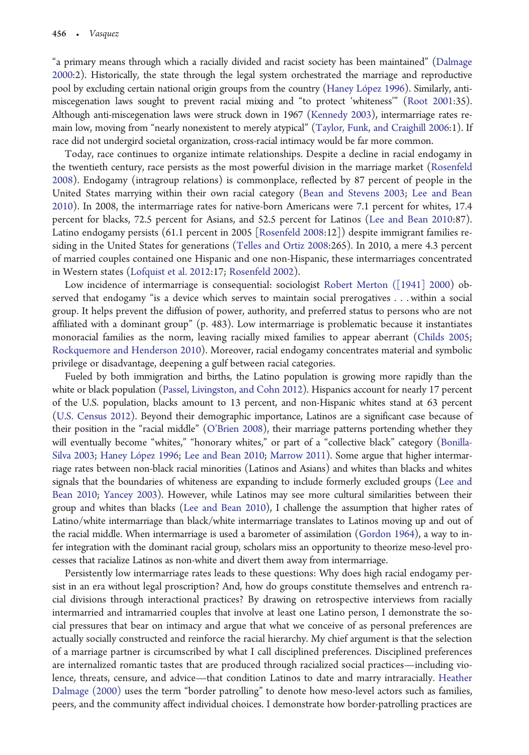"a primary means through which a racially divided and racist society has been maintained" [\(Dalmage](#page-18-0) [2000](#page-18-0):2). Historically, the state through the legal system orchestrated the marriage and reproductive pool by excluding certain national origin groups from the country (Haney López 1996). Similarly, antimiscegenation laws sought to prevent racial mixing and "to protect 'whiteness'" ([Root 2001](#page-19-0):35). Although anti-miscegenation laws were struck down in 1967 ([Kennedy 2003](#page-18-0)), intermarriage rates remain low, moving from "nearly nonexistent to merely atypical" [\(Taylor, Funk, and Craighill 2006](#page-20-0):1). If race did not undergird societal organization, cross-racial intimacy would be far more common.

Today, race continues to organize intimate relationships. Despite a decline in racial endogamy in the twentieth century, race persists as the most powerful division in the marriage market [\(Rosenfeld](#page-20-0) [2008\)](#page-20-0). Endogamy (intragroup relations) is commonplace, reflected by 87 percent of people in the United States marrying within their own racial category [\(Bean and Stevens 2003](#page-18-0); [Lee and Bean](#page-19-0) [2010\)](#page-19-0). In 2008, the intermarriage rates for native-born Americans were 7.1 percent for whites, 17.4 percent for blacks, 72.5 percent for Asians, and 52.5 percent for Latinos [\(Lee and Bean 2010:](#page-19-0)87). Latino endogamy persists (61.1 percent in 2005 [\[Rosenfeld 2008](#page-20-0):12]) despite immigrant families residing in the United States for generations ([Telles and Ortiz 2008](#page-20-0):265). In 2010, a mere 4.3 percent of married couples contained one Hispanic and one non-Hispanic, these intermarriages concentrated in Western states ([Lofquist et al. 2012:](#page-19-0)17; [Rosenfeld 2002](#page-19-0)).

Low incidence of intermarriage is consequential: sociologist [Robert Merton \(\[1941\] 2000\)](#page-19-0) observed that endogamy "is a device which serves to maintain social prerogatives . . . within a social group. It helps prevent the diffusion of power, authority, and preferred status to persons who are not affiliated with a dominant group" (p. 483). Low intermarriage is problematic because it instantiates monoracial families as the norm, leaving racially mixed families to appear aberrant [\(Childs 2005;](#page-18-0) [Rockquemore and Henderson 2010\)](#page-19-0). Moreover, racial endogamy concentrates material and symbolic privilege or disadvantage, deepening a gulf between racial categories.

Fueled by both immigration and births, the Latino population is growing more rapidly than the white or black population [\(Passel, Livingston, and Cohn 2012\)](#page-19-0). Hispanics account for nearly 17 percent of the U.S. population, blacks amount to 13 percent, and non-Hispanic whites stand at 63 percent [\(U.S. Census 2012\)](#page-20-0). Beyond their demographic importance, Latinos are a significant case because of their position in the "racial middle" ([O'Brien 2008\)](#page-19-0), their marriage patterns portending whether they will eventually become "whites," "honorary whites," or part of a "collective black" category ([Bonilla-](#page-18-0)[Silva 2003](#page-18-0); Haney López 1996; [Lee and Bean 2010](#page-19-0); [Marrow 2011](#page-19-0)). Some argue that higher intermarriage rates between non-black racial minorities (Latinos and Asians) and whites than blacks and whites signals that the boundaries of whiteness are expanding to include formerly excluded groups ([Lee and](#page-19-0) [Bean 2010](#page-19-0); [Yancey 2003](#page-20-0)). However, while Latinos may see more cultural similarities between their group and whites than blacks [\(Lee and Bean 2010](#page-19-0)), I challenge the assumption that higher rates of Latino/white intermarriage than black/white intermarriage translates to Latinos moving up and out of the racial middle. When intermarriage is used a barometer of assimilation ([Gordon 1964](#page-18-0)), a way to infer integration with the dominant racial group, scholars miss an opportunity to theorize meso-level processes that racialize Latinos as non-white and divert them away from intermarriage.

Persistently low intermarriage rates leads to these questions: Why does high racial endogamy persist in an era without legal proscription? And, how do groups constitute themselves and entrench racial divisions through interactional practices? By drawing on retrospective interviews from racially intermarried and intramarried couples that involve at least one Latino person, I demonstrate the social pressures that bear on intimacy and argue that what we conceive of as personal preferences are actually socially constructed and reinforce the racial hierarchy. My chief argument is that the selection of a marriage partner is circumscribed by what I call disciplined preferences. Disciplined preferences are internalized romantic tastes that are produced through racialized social practices—including violence, threats, censure, and advice—that condition Latinos to date and marry intraracially. [Heather](#page-18-0) [Dalmage \(2000\)](#page-18-0) uses the term "border patrolling" to denote how meso-level actors such as families, peers, and the community affect individual choices. I demonstrate how border-patrolling practices are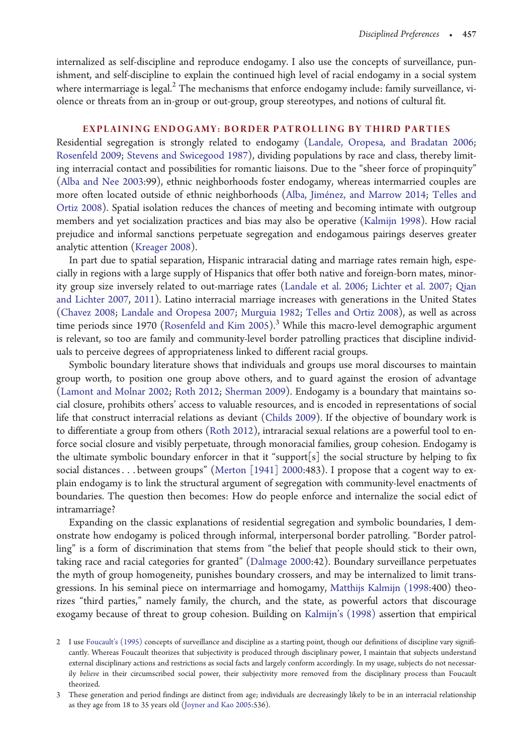internalized as self-discipline and reproduce endogamy. I also use the concepts of surveillance, punishment, and self-discipline to explain the continued high level of racial endogamy in a social system where intermarriage is legal.<sup>2</sup> The mechanisms that enforce endogamy include: family surveillance, violence or threats from an in-group or out-group, group stereotypes, and notions of cultural fit.

#### EXPLAINING ENDOGAMY: BORDER PATROLLING BY THIRD PARTIES

Residential segregation is strongly related to endogamy [\(Landale, Oropesa, and Bradatan 2006;](#page-19-0) [Rosenfeld 2009;](#page-20-0) [Stevens and Swicegood 1987\)](#page-20-0), dividing populations by race and class, thereby limiting interracial contact and possibilities for romantic liaisons. Due to the "sheer force of propinquity" [\(Alba and Nee 2003:](#page-18-0)99), ethnic neighborhoods foster endogamy, whereas intermarried couples are more often located outside of ethnic neighborhoods (Alba, Jiménez, and Marrow 2014; [Telles and](#page-20-0) [Ortiz 2008](#page-20-0)). Spatial isolation reduces the chances of meeting and becoming intimate with outgroup members and yet socialization practices and bias may also be operative [\(Kalmijn 1998\)](#page-18-0). How racial prejudice and informal sanctions perpetuate segregation and endogamous pairings deserves greater analytic attention ([Kreager 2008](#page-18-0)).

In part due to spatial separation, Hispanic intraracial dating and marriage rates remain high, especially in regions with a large supply of Hispanics that offer both native and foreign-born mates, minority group size inversely related to out-marriage rates ([Landale et al. 2006;](#page-19-0) [Lichter et al. 2007;](#page-19-0) [Qian](#page-19-0) [and Lichter 2007,](#page-19-0) [2011\)](#page-19-0). Latino interracial marriage increases with generations in the United States [\(Chavez 2008;](#page-18-0) [Landale and Oropesa 2007](#page-19-0); [Murguia 1982](#page-19-0); [Telles and Ortiz 2008](#page-20-0)), as well as across time periods since 1970 ([Rosenfeld and Kim 2005\)](#page-20-0).<sup>3</sup> While this macro-level demographic argument is relevant, so too are family and community-level border patrolling practices that discipline individuals to perceive degrees of appropriateness linked to different racial groups.

Symbolic boundary literature shows that individuals and groups use moral discourses to maintain group worth, to position one group above others, and to guard against the erosion of advantage [\(Lamont and Molnar 2002](#page-18-0); [Roth 2012](#page-20-0); [Sherman 2009\)](#page-20-0). Endogamy is a boundary that maintains social closure, prohibits others' access to valuable resources, and is encoded in representations of social life that construct interracial relations as deviant [\(Childs 2009\)](#page-18-0). If the objective of boundary work is to differentiate a group from others [\(Roth 2012\)](#page-20-0), intraracial sexual relations are a powerful tool to enforce social closure and visibly perpetuate, through monoracial families, group cohesion. Endogamy is the ultimate symbolic boundary enforcer in that it "support[s] the social structure by helping to fix social distances . . . between groups" [\(Merton \[1941\] 2000:](#page-19-0)483). I propose that a cogent way to explain endogamy is to link the structural argument of segregation with community-level enactments of boundaries. The question then becomes: How do people enforce and internalize the social edict of intramarriage?

Expanding on the classic explanations of residential segregation and symbolic boundaries, I demonstrate how endogamy is policed through informal, interpersonal border patrolling. "Border patrolling" is a form of discrimination that stems from "the belief that people should stick to their own, taking race and racial categories for granted" ([Dalmage 2000:](#page-18-0)42). Boundary surveillance perpetuates the myth of group homogeneity, punishes boundary crossers, and may be internalized to limit transgressions. In his seminal piece on intermarriage and homogamy, [Matthijs Kalmijn \(1998](#page-18-0):400) theorizes "third parties," namely family, the church, and the state, as powerful actors that discourage exogamy because of threat to group cohesion. Building on [Kalmijn's \(1998\)](#page-18-0) assertion that empirical

<sup>2</sup> I use [Foucault's \(1995\)](#page-18-0) concepts of surveillance and discipline as a starting point, though our definitions of discipline vary significantly. Whereas Foucault theorizes that subjectivity is produced through disciplinary power, I maintain that subjects understand external disciplinary actions and restrictions as social facts and largely conform accordingly. In my usage, subjects do not necessarily believe in their circumscribed social power, their subjectivity more removed from the disciplinary process than Foucault theorized.

<sup>3</sup> These generation and period findings are distinct from age; individuals are decreasingly likely to be in an interracial relationship as they age from 18 to 35 years old [\(Joyner and Kao 2005:](#page-18-0)536).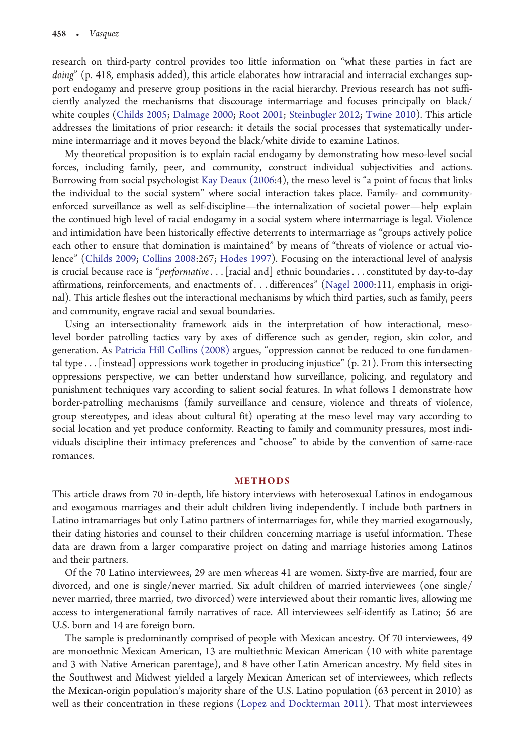research on third-party control provides too little information on "what these parties in fact are doing" (p. 418, emphasis added), this article elaborates how intraracial and interracial exchanges support endogamy and preserve group positions in the racial hierarchy. Previous research has not sufficiently analyzed the mechanisms that discourage intermarriage and focuses principally on black/ white couples [\(Childs 2005](#page-18-0); [Dalmage 2000;](#page-18-0) [Root 2001](#page-19-0); [Steinbugler 2012](#page-20-0); [Twine 2010\)](#page-20-0). This article addresses the limitations of prior research: it details the social processes that systematically undermine intermarriage and it moves beyond the black/white divide to examine Latinos.

My theoretical proposition is to explain racial endogamy by demonstrating how meso-level social forces, including family, peer, and community, construct individual subjectivities and actions. Borrowing from social psychologist [Kay Deaux \(2006:](#page-18-0)4), the meso level is "a point of focus that links the individual to the social system" where social interaction takes place. Family- and communityenforced surveillance as well as self-discipline—the internalization of societal power—help explain the continued high level of racial endogamy in a social system where intermarriage is legal. Violence and intimidation have been historically effective deterrents to intermarriage as "groups actively police each other to ensure that domination is maintained" by means of "threats of violence or actual violence" [\(Childs 2009;](#page-18-0) [Collins 2008:](#page-18-0)267; [Hodes 1997\)](#page-18-0). Focusing on the interactional level of analysis is crucial because race is "performative. . . [racial and] ethnic boundaries . . . constituted by day-to-day affirmations, reinforcements, and enactments of . . . differences" ([Nagel 2000:](#page-19-0)111, emphasis in original). This article fleshes out the interactional mechanisms by which third parties, such as family, peers and community, engrave racial and sexual boundaries.

Using an intersectionality framework aids in the interpretation of how interactional, mesolevel border patrolling tactics vary by axes of difference such as gender, region, skin color, and generation. As [Patricia Hill Collins \(2008\)](#page-18-0) argues, "oppression cannot be reduced to one fundamental type . . . [instead] oppressions work together in producing injustice" (p. 21). From this intersecting oppressions perspective, we can better understand how surveillance, policing, and regulatory and punishment techniques vary according to salient social features. In what follows I demonstrate how border-patrolling mechanisms (family surveillance and censure, violence and threats of violence, group stereotypes, and ideas about cultural fit) operating at the meso level may vary according to social location and yet produce conformity. Reacting to family and community pressures, most individuals discipline their intimacy preferences and "choose" to abide by the convention of same-race romances.

#### METHODS

This article draws from 70 in-depth, life history interviews with heterosexual Latinos in endogamous and exogamous marriages and their adult children living independently. I include both partners in Latino intramarriages but only Latino partners of intermarriages for, while they married exogamously, their dating histories and counsel to their children concerning marriage is useful information. These data are drawn from a larger comparative project on dating and marriage histories among Latinos and their partners.

Of the 70 Latino interviewees, 29 are men whereas 41 are women. Sixty-five are married, four are divorced, and one is single/never married. Six adult children of married interviewees (one single/ never married, three married, two divorced) were interviewed about their romantic lives, allowing me access to intergenerational family narratives of race. All interviewees self-identify as Latino; 56 are U.S. born and 14 are foreign born.

The sample is predominantly comprised of people with Mexican ancestry. Of 70 interviewees, 49 are monoethnic Mexican American, 13 are multiethnic Mexican American (10 with white parentage and 3 with Native American parentage), and 8 have other Latin American ancestry. My field sites in the Southwest and Midwest yielded a largely Mexican American set of interviewees, which reflects the Mexican-origin population's majority share of the U.S. Latino population (63 percent in 2010) as well as their concentration in these regions [\(Lopez and Dockterman 2011\)](#page-19-0). That most interviewees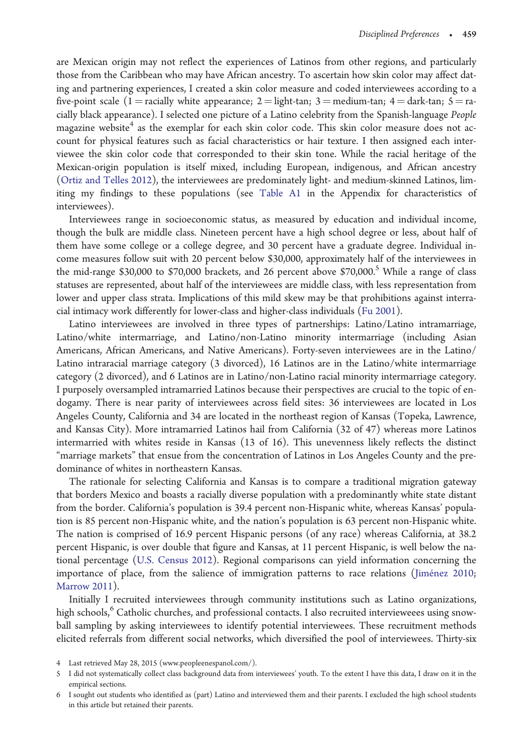are Mexican origin may not reflect the experiences of Latinos from other regions, and particularly those from the Caribbean who may have African ancestry. To ascertain how skin color may affect dating and partnering experiences, I created a skin color measure and coded interviewees according to a five-point scale (1 = racially white appearance; 2 = light-tan; 3 = medium-tan; 4 = dark-tan; 5 = racially black appearance). I selected one picture of a Latino celebrity from the Spanish-language People magazine website<sup>4</sup> as the exemplar for each skin color code. This skin color measure does not account for physical features such as facial characteristics or hair texture. I then assigned each interviewee the skin color code that corresponded to their skin tone. While the racial heritage of the Mexican-origin population is itself mixed, including European, indigenous, and African ancestry [\(Ortiz and Telles 2012\)](#page-19-0), the interviewees are predominately light- and medium-skinned Latinos, limiting my findings to these populations (see [Table A1](#page-17-0) in the Appendix for characteristics of interviewees).

Interviewees range in socioeconomic status, as measured by education and individual income, though the bulk are middle class. Nineteen percent have a high school degree or less, about half of them have some college or a college degree, and 30 percent have a graduate degree. Individual income measures follow suit with 20 percent below \$30,000, approximately half of the interviewees in the mid-range \$30,000 to \$70,000 brackets, and 26 percent above \$70,000.<sup>5</sup> While a range of class statuses are represented, about half of the interviewees are middle class, with less representation from lower and upper class strata. Implications of this mild skew may be that prohibitions against interracial intimacy work differently for lower-class and higher-class individuals [\(Fu 2001](#page-18-0)).

Latino interviewees are involved in three types of partnerships: Latino/Latino intramarriage, Latino/white intermarriage, and Latino/non-Latino minority intermarriage (including Asian Americans, African Americans, and Native Americans). Forty-seven interviewees are in the Latino/ Latino intraracial marriage category (3 divorced), 16 Latinos are in the Latino/white intermarriage category (2 divorced), and 6 Latinos are in Latino/non-Latino racial minority intermarriage category. I purposely oversampled intramarried Latinos because their perspectives are crucial to the topic of endogamy. There is near parity of interviewees across field sites: 36 interviewees are located in Los Angeles County, California and 34 are located in the northeast region of Kansas (Topeka, Lawrence, and Kansas City). More intramarried Latinos hail from California (32 of 47) whereas more Latinos intermarried with whites reside in Kansas (13 of 16). This unevenness likely reflects the distinct "marriage markets" that ensue from the concentration of Latinos in Los Angeles County and the predominance of whites in northeastern Kansas.

The rationale for selecting California and Kansas is to compare a traditional migration gateway that borders Mexico and boasts a racially diverse population with a predominantly white state distant from the border. California's population is 39.4 percent non-Hispanic white, whereas Kansas' population is 85 percent non-Hispanic white, and the nation's population is 63 percent non-Hispanic white. The nation is comprised of 16.9 percent Hispanic persons (of any race) whereas California, at 38.2 percent Hispanic, is over double that figure and Kansas, at 11 percent Hispanic, is well below the national percentage ([U.S. Census 2012\)](#page-20-0). Regional comparisons can yield information concerning the importance of place, from the salience of immigration patterns to race relations (Jiménez 2010; [Marrow 2011\)](#page-19-0).

Initially I recruited interviewees through community institutions such as Latino organizations, high schools,<sup>6</sup> Catholic churches, and professional contacts. I also recruited intervieweees using snowball sampling by asking interviewees to identify potential interviewees. These recruitment methods elicited referrals from different social networks, which diversified the pool of interviewees. Thirty-six

- 4 Last retrieved May 28, 2015 [\(www.peopleenespanol.com/](www.peopleenespanol.com/)).
- 5 I did not systematically collect class background data from interviewees' youth. To the extent I have this data, I draw on it in the empirical sections.
- 6 I sought out students who identified as (part) Latino and interviewed them and their parents. I excluded the high school students in this article but retained their parents.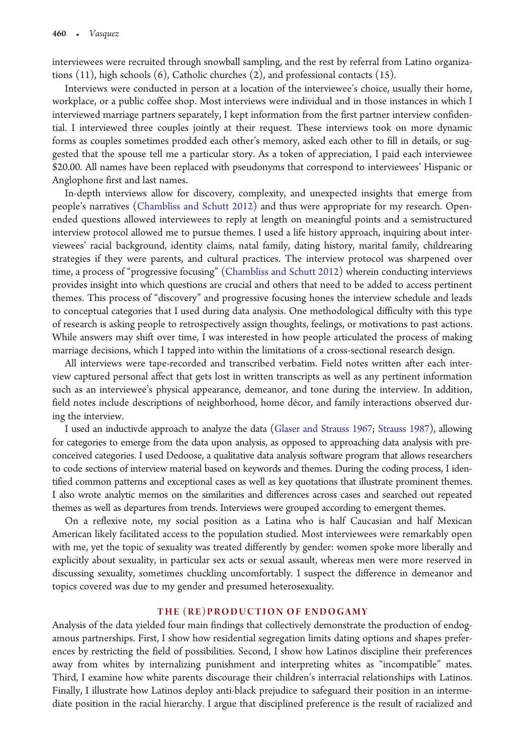interviewees were recruited through snowball sampling, and the rest by referral from Latino organizations (11), high schools (6), Catholic churches (2), and professional contacts (15).

Interviews were conducted in person at a location of the interviewee's choice, usually their home, workplace, or a public coffee shop. Most interviews were individual and in those instances in which I interviewed marriage partners separately, I kept information from the first partner interview confidential. I interviewed three couples jointly at their request. These interviews took on more dynamic forms as couples sometimes prodded each other's memory, asked each other to fill in details, or suggested that the spouse tell me a particular story. As a token of appreciation, I paid each interviewee \$20.00. All names have been replaced with pseudonyms that correspond to interviewees' Hispanic or Anglophone first and last names.

In-depth interviews allow for discovery, complexity, and unexpected insights that emerge from people's narratives ([Chambliss and Schutt 2012](#page-18-0)) and thus were appropriate for my research. Openended questions allowed interviewees to reply at length on meaningful points and a semistructured interview protocol allowed me to pursue themes. I used a life history approach, inquiring about interviewees' racial background, identity claims, natal family, dating history, marital family, childrearing strategies if they were parents, and cultural practices. The interview protocol was sharpened over time, a process of "progressive focusing" [\(Chambliss and Schutt 2012](#page-18-0)) wherein conducting interviews provides insight into which questions are crucial and others that need to be added to access pertinent themes. This process of "discovery" and progressive focusing hones the interview schedule and leads to conceptual categories that I used during data analysis. One methodological difficulty with this type of research is asking people to retrospectively assign thoughts, feelings, or motivations to past actions. While answers may shift over time, I was interested in how people articulated the process of making marriage decisions, which I tapped into within the limitations of a cross-sectional research design.

All interviews were tape-recorded and transcribed verbatim. Field notes written after each interview captured personal affect that gets lost in written transcripts as well as any pertinent information such as an interviewee's physical appearance, demeanor, and tone during the interview. In addition, field notes include descriptions of neighborhood, home décor, and family interactions observed during the interview.

I used an inductivde approach to analyze the data ([Glaser and Strauss 1967](#page-18-0); [Strauss 1987\)](#page-20-0), allowing for categories to emerge from the data upon analysis, as opposed to approaching data analysis with preconceived categories. I used Dedoose, a qualitative data analysis software program that allows researchers to code sections of interview material based on keywords and themes. During the coding process, I identified common patterns and exceptional cases as well as key quotations that illustrate prominent themes. I also wrote analytic memos on the similarities and differences across cases and searched out repeated themes as well as departures from trends. Interviews were grouped according to emergent themes.

On a reflexive note, my social position as a Latina who is half Caucasian and half Mexican American likely facilitated access to the population studied. Most interviewees were remarkably open with me, yet the topic of sexuality was treated differently by gender: women spoke more liberally and explicitly about sexuality, in particular sex acts or sexual assault, whereas men were more reserved in discussing sexuality, sometimes chuckling uncomfortably. I suspect the difference in demeanor and topics covered was due to my gender and presumed heterosexuality.

# THE (RE)PRODUCTION OF ENDOGAMY

Analysis of the data yielded four main findings that collectively demonstrate the production of endogamous partnerships. First, I show how residential segregation limits dating options and shapes preferences by restricting the field of possibilities. Second, I show how Latinos discipline their preferences away from whites by internalizing punishment and interpreting whites as "incompatible" mates. Third, I examine how white parents discourage their children's interracial relationships with Latinos. Finally, I illustrate how Latinos deploy anti-black prejudice to safeguard their position in an intermediate position in the racial hierarchy. I argue that disciplined preference is the result of racialized and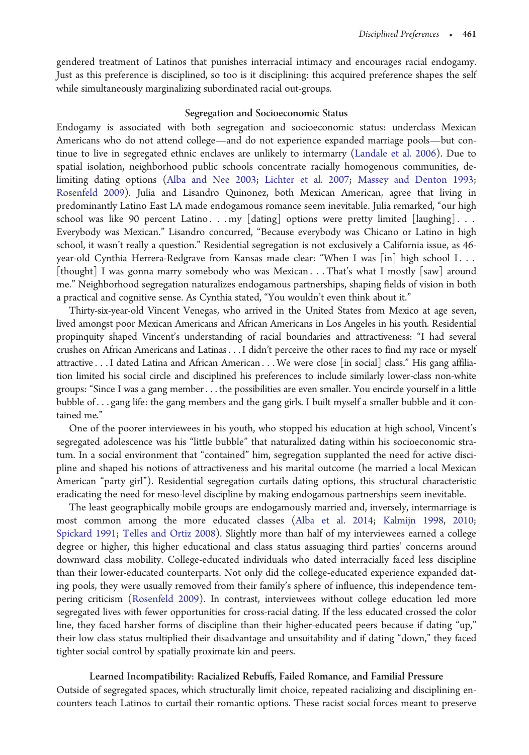gendered treatment of Latinos that punishes interracial intimacy and encourages racial endogamy. Just as this preference is disciplined, so too is it disciplining: this acquired preference shapes the self while simultaneously marginalizing subordinated racial out-groups.

#### Segregation and Socioeconomic Status

Endogamy is associated with both segregation and socioeconomic status: underclass Mexican Americans who do not attend college—and do not experience expanded marriage pools—but continue to live in segregated ethnic enclaves are unlikely to intermarry ([Landale et al. 2006](#page-19-0)). Due to spatial isolation, neighborhood public schools concentrate racially homogenous communities, delimiting dating options [\(Alba and Nee 2003](#page-18-0); [Lichter et al. 2007](#page-19-0); [Massey and Denton 1993;](#page-19-0) [Rosenfeld 2009\)](#page-20-0). Julia and Lisandro Quinonez, both Mexican American, agree that living in predominantly Latino East LA made endogamous romance seem inevitable. Julia remarked, "our high school was like 90 percent Latino  $\ldots$  my [dating] options were pretty limited [laughing]... Everybody was Mexican." Lisandro concurred, "Because everybody was Chicano or Latino in high school, it wasn't really a question." Residential segregation is not exclusively a California issue, as 46 year-old Cynthia Herrera-Redgrave from Kansas made clear: "When I was [in] high school I... [thought] I was gonna marry somebody who was Mexican . . . That's what I mostly [saw] around me." Neighborhood segregation naturalizes endogamous partnerships, shaping fields of vision in both a practical and cognitive sense. As Cynthia stated, "You wouldn't even think about it."

Thirty-six-year-old Vincent Venegas, who arrived in the United States from Mexico at age seven, lived amongst poor Mexican Americans and African Americans in Los Angeles in his youth. Residential propinquity shaped Vincent's understanding of racial boundaries and attractiveness: "I had several crushes on African Americans and Latinas . . . I didn't perceive the other races to find my race or myself attractive . . . I dated Latina and African American . . . We were close [in social] class." His gang affiliation limited his social circle and disciplined his preferences to include similarly lower-class non-white groups: "Since I was a gang member . . . the possibilities are even smaller. You encircle yourself in a little bubble of . . . gang life: the gang members and the gang girls. I built myself a smaller bubble and it contained me."

One of the poorer interviewees in his youth, who stopped his education at high school, Vincent's segregated adolescence was his "little bubble" that naturalized dating within his socioeconomic stratum. In a social environment that "contained" him, segregation supplanted the need for active discipline and shaped his notions of attractiveness and his marital outcome (he married a local Mexican American "party girl"). Residential segregation curtails dating options, this structural characteristic eradicating the need for meso-level discipline by making endogamous partnerships seem inevitable.

The least geographically mobile groups are endogamously married and, inversely, intermarriage is most common among the more educated classes [\(Alba et al. 2014](#page-18-0); [Kalmijn 1998](#page-18-0), [2010;](#page-18-0) [Spickard 1991;](#page-20-0) [Telles and Ortiz 2008\)](#page-20-0). Slightly more than half of my interviewees earned a college degree or higher, this higher educational and class status assuaging third parties' concerns around downward class mobility. College-educated individuals who dated interracially faced less discipline than their lower-educated counterparts. Not only did the college-educated experience expanded dating pools, they were usually removed from their family's sphere of influence, this independence tempering criticism [\(Rosenfeld 2009\)](#page-20-0). In contrast, interviewees without college education led more segregated lives with fewer opportunities for cross-racial dating. If the less educated crossed the color line, they faced harsher forms of discipline than their higher-educated peers because if dating "up," their low class status multiplied their disadvantage and unsuitability and if dating "down," they faced tighter social control by spatially proximate kin and peers.

Learned Incompatibility: Racialized Rebuffs, Failed Romance, and Familial Pressure Outside of segregated spaces, which structurally limit choice, repeated racializing and disciplining encounters teach Latinos to curtail their romantic options. These racist social forces meant to preserve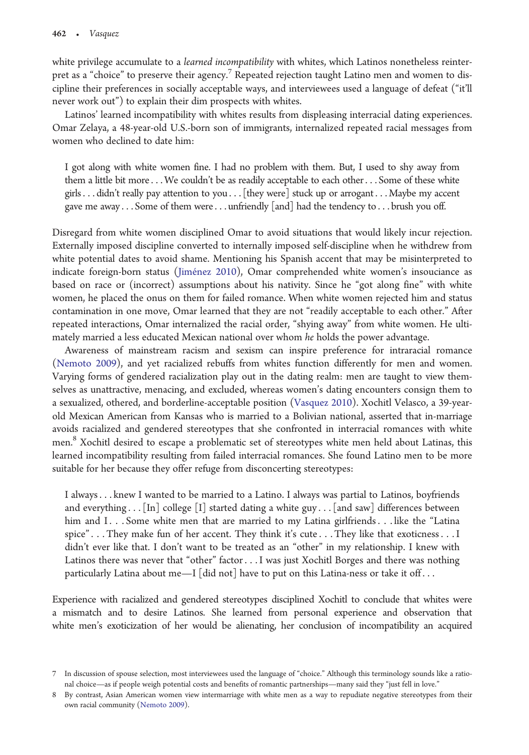white privilege accumulate to a learned incompatibility with whites, which Latinos nonetheless reinterpret as a "choice" to preserve their agency.<sup>7</sup> Repeated rejection taught Latino men and women to discipline their preferences in socially acceptable ways, and interviewees used a language of defeat ("it'll never work out") to explain their dim prospects with whites.

Latinos' learned incompatibility with whites results from displeasing interracial dating experiences. Omar Zelaya, a 48-year-old U.S.-born son of immigrants, internalized repeated racial messages from women who declined to date him:

I got along with white women fine. I had no problem with them. But, I used to shy away from them a little bit more . . . We couldn't be as readily acceptable to each other . . . Some of these white girls . . . didn't really pay attention to you . . . [they were] stuck up or arrogant . . . Maybe my accent gave me away . . . Some of them were . . . unfriendly [and] had the tendency to . . . brush you off.

Disregard from white women disciplined Omar to avoid situations that would likely incur rejection. Externally imposed discipline converted to internally imposed self-discipline when he withdrew from white potential dates to avoid shame. Mentioning his Spanish accent that may be misinterpreted to indicate foreign-born status (Jiménez 2010), Omar comprehended white women's insouciance as based on race or (incorrect) assumptions about his nativity. Since he "got along fine" with white women, he placed the onus on them for failed romance. When white women rejected him and status contamination in one move, Omar learned that they are not "readily acceptable to each other." After repeated interactions, Omar internalized the racial order, "shying away" from white women. He ultimately married a less educated Mexican national over whom he holds the power advantage.

Awareness of mainstream racism and sexism can inspire preference for intraracial romance [\(Nemoto 2009](#page-19-0)), and yet racialized rebuffs from whites function differently for men and women. Varying forms of gendered racialization play out in the dating realm: men are taught to view themselves as unattractive, menacing, and excluded, whereas women's dating encounters consign them to a sexualized, othered, and borderline-acceptable position ([Vasquez 2010\)](#page-20-0). Xochitl Velasco, a 39-yearold Mexican American from Kansas who is married to a Bolivian national, asserted that in-marriage avoids racialized and gendered stereotypes that she confronted in interracial romances with white men.<sup>8</sup> Xochitl desired to escape a problematic set of stereotypes white men held about Latinas, this learned incompatibility resulting from failed interracial romances. She found Latino men to be more suitable for her because they offer refuge from disconcerting stereotypes:

I always . . . knew I wanted to be married to a Latino. I always was partial to Latinos, boyfriends and everything...[In] college [I] started dating a white guy ...[and saw] differences between him and I...Some white men that are married to my Latina girlfriends...like the "Latina" spice" . . . They make fun of her accent. They think it's cute . . . They like that exoticness . . . I didn't ever like that. I don't want to be treated as an "other" in my relationship. I knew with Latinos there was never that "other" factor . . . I was just Xochitl Borges and there was nothing particularly Latina about me—I [did not] have to put on this Latina-ness or take it off...

Experience with racialized and gendered stereotypes disciplined Xochitl to conclude that whites were a mismatch and to desire Latinos. She learned from personal experience and observation that white men's exoticization of her would be alienating, her conclusion of incompatibility an acquired

<sup>7</sup> In discussion of spouse selection, most interviewees used the language of "choice." Although this terminology sounds like a rational choice—as if people weigh potential costs and benefits of romantic partnerships—many said they "just fell in love."

<sup>8</sup> By contrast, Asian American women view intermarriage with white men as a way to repudiate negative stereotypes from their own racial community ([Nemoto 2009](#page-19-0)).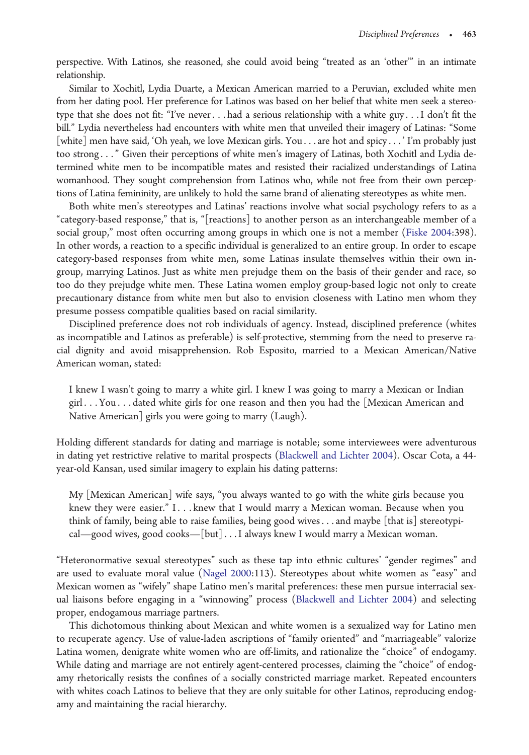perspective. With Latinos, she reasoned, she could avoid being "treated as an 'other'" in an intimate relationship.

Similar to Xochitl, Lydia Duarte, a Mexican American married to a Peruvian, excluded white men from her dating pool. Her preference for Latinos was based on her belief that white men seek a stereotype that she does not fit: "I've never . . . had a serious relationship with a white guy . . . I don't fit the bill." Lydia nevertheless had encounters with white men that unveiled their imagery of Latinas: "Some [white] men have said, 'Oh yeah, we love Mexican girls. You . . . are hot and spicy . . . ' I'm probably just too strong . . . " Given their perceptions of white men's imagery of Latinas, both Xochitl and Lydia determined white men to be incompatible mates and resisted their racialized understandings of Latina womanhood. They sought comprehension from Latinos who, while not free from their own perceptions of Latina femininity, are unlikely to hold the same brand of alienating stereotypes as white men.

Both white men's stereotypes and Latinas' reactions involve what social psychology refers to as a "category-based response," that is, "[reactions] to another person as an interchangeable member of a social group," most often occurring among groups in which one is not a member [\(Fiske 2004:](#page-18-0)398). In other words, a reaction to a specific individual is generalized to an entire group. In order to escape category-based responses from white men, some Latinas insulate themselves within their own ingroup, marrying Latinos. Just as white men prejudge them on the basis of their gender and race, so too do they prejudge white men. These Latina women employ group-based logic not only to create precautionary distance from white men but also to envision closeness with Latino men whom they presume possess compatible qualities based on racial similarity.

Disciplined preference does not rob individuals of agency. Instead, disciplined preference (whites as incompatible and Latinos as preferable) is self-protective, stemming from the need to preserve racial dignity and avoid misapprehension. Rob Esposito, married to a Mexican American/Native American woman, stated:

I knew I wasn't going to marry a white girl. I knew I was going to marry a Mexican or Indian girl . . . You . . . dated white girls for one reason and then you had the [Mexican American and Native American] girls you were going to marry (Laugh).

Holding different standards for dating and marriage is notable; some interviewees were adventurous in dating yet restrictive relative to marital prospects [\(Blackwell and Lichter 2004](#page-18-0)). Oscar Cota, a 44 year-old Kansan, used similar imagery to explain his dating patterns:

My [Mexican American] wife says, "you always wanted to go with the white girls because you knew they were easier." I . . . knew that I would marry a Mexican woman. Because when you think of family, being able to raise families, being good wives . . . and maybe [that is] stereotypical—good wives, good cooks—[but] . . . I always knew I would marry a Mexican woman.

"Heteronormative sexual stereotypes" such as these tap into ethnic cultures' "gender regimes" and are used to evaluate moral value [\(Nagel 2000:](#page-19-0)113). Stereotypes about white women as "easy" and Mexican women as "wifely" shape Latino men's marital preferences: these men pursue interracial sexual liaisons before engaging in a "winnowing" process ([Blackwell and Lichter 2004\)](#page-18-0) and selecting proper, endogamous marriage partners.

This dichotomous thinking about Mexican and white women is a sexualized way for Latino men to recuperate agency. Use of value-laden ascriptions of "family oriented" and "marriageable" valorize Latina women, denigrate white women who are off-limits, and rationalize the "choice" of endogamy. While dating and marriage are not entirely agent-centered processes, claiming the "choice" of endogamy rhetorically resists the confines of a socially constricted marriage market. Repeated encounters with whites coach Latinos to believe that they are only suitable for other Latinos, reproducing endogamy and maintaining the racial hierarchy.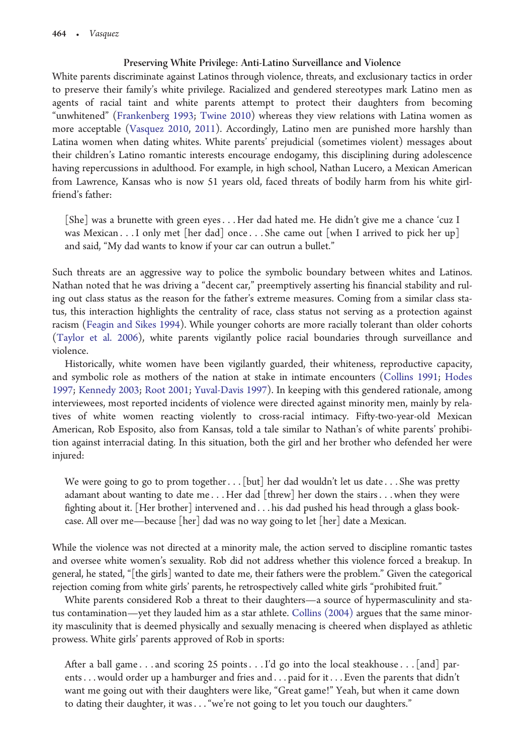# Preserving White Privilege: Anti-Latino Surveillance and Violence

White parents discriminate against Latinos through violence, threats, and exclusionary tactics in order to preserve their family's white privilege. Racialized and gendered stereotypes mark Latino men as agents of racial taint and white parents attempt to protect their daughters from becoming "unwhitened" ([Frankenberg 1993;](#page-18-0) [Twine 2010](#page-20-0)) whereas they view relations with Latina women as more acceptable ([Vasquez 2010](#page-20-0), [2011\)](#page-20-0). Accordingly, Latino men are punished more harshly than Latina women when dating whites. White parents' prejudicial (sometimes violent) messages about their children's Latino romantic interests encourage endogamy, this disciplining during adolescence having repercussions in adulthood. For example, in high school, Nathan Lucero, a Mexican American from Lawrence, Kansas who is now 51 years old, faced threats of bodily harm from his white girlfriend's father:

[She] was a brunette with green eyes . . . Her dad hated me. He didn't give me a chance 'cuz I was Mexican . . . I only met [her dad] once . . . She came out [when I arrived to pick her up] and said, "My dad wants to know if your car can outrun a bullet."

Such threats are an aggressive way to police the symbolic boundary between whites and Latinos. Nathan noted that he was driving a "decent car," preemptively asserting his financial stability and ruling out class status as the reason for the father's extreme measures. Coming from a similar class status, this interaction highlights the centrality of race, class status not serving as a protection against racism [\(Feagin and Sikes 1994\)](#page-18-0). While younger cohorts are more racially tolerant than older cohorts [\(Taylor et al. 2006\)](#page-20-0), white parents vigilantly police racial boundaries through surveillance and violence.

Historically, white women have been vigilantly guarded, their whiteness, reproductive capacity, and symbolic role as mothers of the nation at stake in intimate encounters [\(Collins 1991](#page-18-0); [Hodes](#page-18-0) [1997;](#page-18-0) [Kennedy 2003;](#page-18-0) [Root 2001](#page-19-0); [Yuval-Davis 1997\)](#page-20-0). In keeping with this gendered rationale, among interviewees, most reported incidents of violence were directed against minority men, mainly by relatives of white women reacting violently to cross-racial intimacy. Fifty-two-year-old Mexican American, Rob Esposito, also from Kansas, told a tale similar to Nathan's of white parents' prohibition against interracial dating. In this situation, both the girl and her brother who defended her were injured:

We were going to go to prom together . . . [but] her dad wouldn't let us date . . . She was pretty adamant about wanting to date me . . . Her dad [threw] her down the stairs . . . when they were fighting about it. [Her brother] intervened and . . . his dad pushed his head through a glass bookcase. All over me—because [her] dad was no way going to let [her] date a Mexican.

While the violence was not directed at a minority male, the action served to discipline romantic tastes and oversee white women's sexuality. Rob did not address whether this violence forced a breakup. In general, he stated, "[the girls] wanted to date me, their fathers were the problem." Given the categorical rejection coming from white girls' parents, he retrospectively called white girls "prohibited fruit."

White parents considered Rob a threat to their daughters—a source of hypermasculinity and status contamination—yet they lauded him as a star athlete. [Collins \(2004\)](#page-18-0) argues that the same minority masculinity that is deemed physically and sexually menacing is cheered when displayed as athletic prowess. White girls' parents approved of Rob in sports:

After a ball game . . . and scoring 25 points . . . I'd go into the local steakhouse . . . [and] parents . . . would order up a hamburger and fries and . . . paid for it . . . Even the parents that didn't want me going out with their daughters were like, "Great game!" Yeah, but when it came down to dating their daughter, it was . . . "we're not going to let you touch our daughters."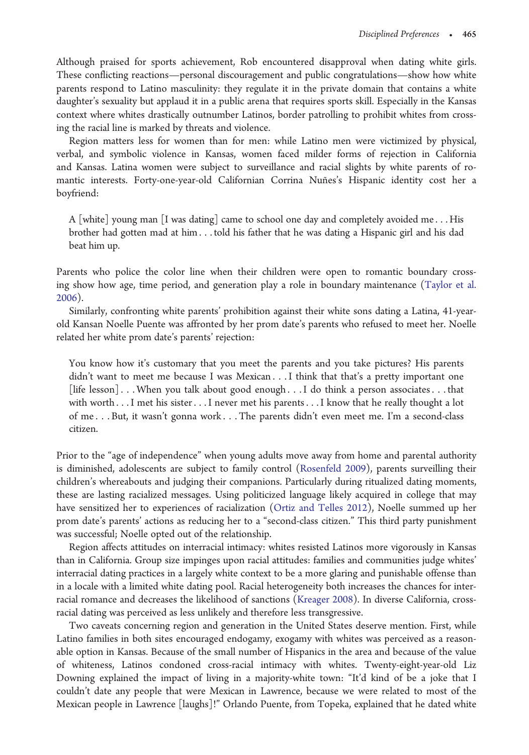Although praised for sports achievement, Rob encountered disapproval when dating white girls. These conflicting reactions—personal discouragement and public congratulations—show how white parents respond to Latino masculinity: they regulate it in the private domain that contains a white daughter's sexuality but applaud it in a public arena that requires sports skill. Especially in the Kansas context where whites drastically outnumber Latinos, border patrolling to prohibit whites from crossing the racial line is marked by threats and violence.

Region matters less for women than for men: while Latino men were victimized by physical, verbal, and symbolic violence in Kansas, women faced milder forms of rejection in California and Kansas. Latina women were subject to surveillance and racial slights by white parents of romantic interests. Forty-one-year-old Californian Corrina Nuñes's Hispanic identity cost her a boyfriend:

A [white] young man [I was dating] came to school one day and completely avoided me . . . His brother had gotten mad at him . . . told his father that he was dating a Hispanic girl and his dad beat him up.

Parents who police the color line when their children were open to romantic boundary crossing show how age, time period, and generation play a role in boundary maintenance [\(Taylor et al.](#page-20-0) [2006\)](#page-20-0).

Similarly, confronting white parents' prohibition against their white sons dating a Latina, 41-yearold Kansan Noelle Puente was affronted by her prom date's parents who refused to meet her. Noelle related her white prom date's parents' rejection:

You know how it's customary that you meet the parents and you take pictures? His parents didn't want to meet me because I was Mexican . . . I think that that's a pretty important one [life lesson] . . . When you talk about good enough . . . I do think a person associates . . . that with worth . . . I met his sister . . . I never met his parents . . . I know that he really thought a lot of me . . . But, it wasn't gonna work . . . The parents didn't even meet me. I'm a second-class citizen.

Prior to the "age of independence" when young adults move away from home and parental authority is diminished, adolescents are subject to family control [\(Rosenfeld 2009](#page-20-0)), parents surveilling their children's whereabouts and judging their companions. Particularly during ritualized dating moments, these are lasting racialized messages. Using politicized language likely acquired in college that may have sensitized her to experiences of racialization [\(Ortiz and Telles 2012\)](#page-19-0), Noelle summed up her prom date's parents' actions as reducing her to a "second-class citizen." This third party punishment was successful; Noelle opted out of the relationship.

Region affects attitudes on interracial intimacy: whites resisted Latinos more vigorously in Kansas than in California. Group size impinges upon racial attitudes: families and communities judge whites' interracial dating practices in a largely white context to be a more glaring and punishable offense than in a locale with a limited white dating pool. Racial heterogeneity both increases the chances for interracial romance and decreases the likelihood of sanctions ([Kreager 2008\)](#page-18-0). In diverse California, crossracial dating was perceived as less unlikely and therefore less transgressive.

Two caveats concerning region and generation in the United States deserve mention. First, while Latino families in both sites encouraged endogamy, exogamy with whites was perceived as a reasonable option in Kansas. Because of the small number of Hispanics in the area and because of the value of whiteness, Latinos condoned cross-racial intimacy with whites. Twenty-eight-year-old Liz Downing explained the impact of living in a majority-white town: "It'd kind of be a joke that I couldn't date any people that were Mexican in Lawrence, because we were related to most of the Mexican people in Lawrence [laughs]!" Orlando Puente, from Topeka, explained that he dated white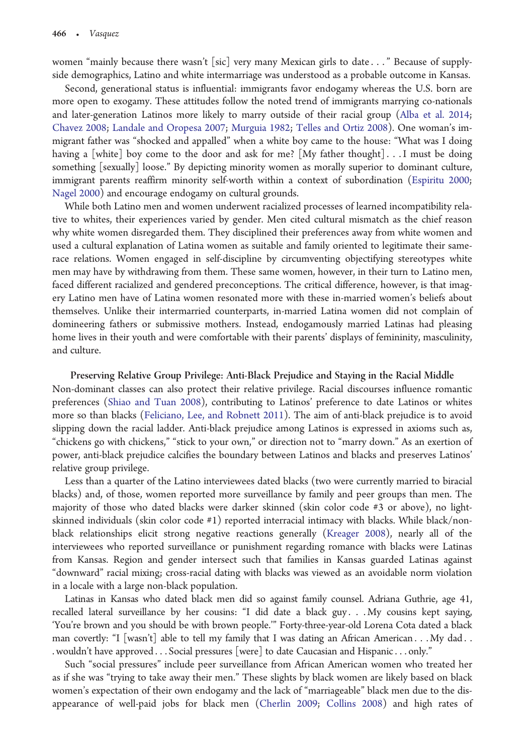women "mainly because there wasn't [sic] very many Mexican girls to date . . . " Because of supplyside demographics, Latino and white intermarriage was understood as a probable outcome in Kansas.

Second, generational status is influential: immigrants favor endogamy whereas the U.S. born are more open to exogamy. These attitudes follow the noted trend of immigrants marrying co-nationals and later-generation Latinos more likely to marry outside of their racial group ([Alba et al. 2014;](#page-18-0) [Chavez 2008;](#page-18-0) [Landale and Oropesa 2007](#page-19-0); [Murguia 1982;](#page-19-0) [Telles and Ortiz 2008](#page-20-0)). One woman's immigrant father was "shocked and appalled" when a white boy came to the house: "What was I doing having a [white] boy come to the door and ask for me? [My father thought]...I must be doing something [sexually] loose." By depicting minority women as morally superior to dominant culture, immigrant parents reaffirm minority self-worth within a context of subordination [\(Espiritu 2000;](#page-18-0) [Nagel 2000](#page-19-0)) and encourage endogamy on cultural grounds.

While both Latino men and women underwent racialized processes of learned incompatibility relative to whites, their experiences varied by gender. Men cited cultural mismatch as the chief reason why white women disregarded them. They disciplined their preferences away from white women and used a cultural explanation of Latina women as suitable and family oriented to legitimate their samerace relations. Women engaged in self-discipline by circumventing objectifying stereotypes white men may have by withdrawing from them. These same women, however, in their turn to Latino men, faced different racialized and gendered preconceptions. The critical difference, however, is that imagery Latino men have of Latina women resonated more with these in-married women's beliefs about themselves. Unlike their intermarried counterparts, in-married Latina women did not complain of domineering fathers or submissive mothers. Instead, endogamously married Latinas had pleasing home lives in their youth and were comfortable with their parents' displays of femininity, masculinity, and culture.

#### Preserving Relative Group Privilege: Anti-Black Prejudice and Staying in the Racial Middle

Non-dominant classes can also protect their relative privilege. Racial discourses influence romantic preferences [\(Shiao and Tuan 2008\)](#page-20-0), contributing to Latinos' preference to date Latinos or whites more so than blacks ([Feliciano, Lee, and Robnett 2011\)](#page-18-0). The aim of anti-black prejudice is to avoid slipping down the racial ladder. Anti-black prejudice among Latinos is expressed in axioms such as, "chickens go with chickens," "stick to your own," or direction not to "marry down." As an exertion of power, anti-black prejudice calcifies the boundary between Latinos and blacks and preserves Latinos' relative group privilege.

Less than a quarter of the Latino interviewees dated blacks (two were currently married to biracial blacks) and, of those, women reported more surveillance by family and peer groups than men. The majority of those who dated blacks were darker skinned (skin color code #3 or above), no lightskinned individuals (skin color code #1) reported interracial intimacy with blacks. While black/nonblack relationships elicit strong negative reactions generally ([Kreager 2008](#page-18-0)), nearly all of the interviewees who reported surveillance or punishment regarding romance with blacks were Latinas from Kansas. Region and gender intersect such that families in Kansas guarded Latinas against "downward" racial mixing; cross-racial dating with blacks was viewed as an avoidable norm violation in a locale with a large non-black population.

Latinas in Kansas who dated black men did so against family counsel. Adriana Guthrie, age 41, recalled lateral surveillance by her cousins: "I did date a black guy . . . My cousins kept saying, 'You're brown and you should be with brown people.'" Forty-three-year-old Lorena Cota dated a black man covertly: "I [wasn't] able to tell my family that I was dating an African American . . . My dad . . . wouldn't have approved . . . Social pressures [were] to date Caucasian and Hispanic . . . only."

Such "social pressures" include peer surveillance from African American women who treated her as if she was "trying to take away their men." These slights by black women are likely based on black women's expectation of their own endogamy and the lack of "marriageable" black men due to the disappearance of well-paid jobs for black men ([Cherlin 2009;](#page-18-0) [Collins 2008](#page-18-0)) and high rates of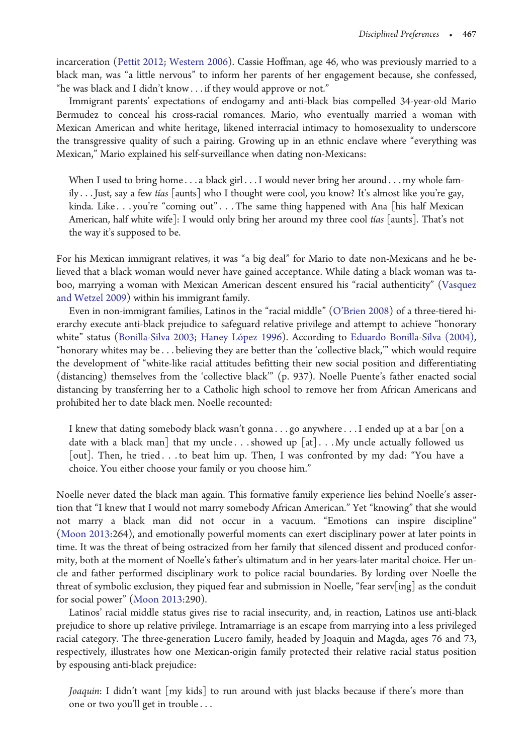incarceration [\(Pettit 2012](#page-19-0); [Western 2006](#page-20-0)). Cassie Hoffman, age 46, who was previously married to a black man, was "a little nervous" to inform her parents of her engagement because, she confessed, "he was black and I didn't know . . . if they would approve or not."

Immigrant parents' expectations of endogamy and anti-black bias compelled 34-year-old Mario Bermudez to conceal his cross-racial romances. Mario, who eventually married a woman with Mexican American and white heritage, likened interracial intimacy to homosexuality to underscore the transgressive quality of such a pairing. Growing up in an ethnic enclave where "everything was Mexican," Mario explained his self-surveillance when dating non-Mexicans:

When I used to bring home . . . a black girl . . . I would never bring her around . . . my whole family . . . Just, say a few tías [aunts] who I thought were cool, you know? It's almost like you're gay, kinda. Like . . . you're "coming out" . . . The same thing happened with Ana [his half Mexican] American, half white wife]: I would only bring her around my three cool tias [aunts]. That's not the way it's supposed to be.

For his Mexican immigrant relatives, it was "a big deal" for Mario to date non-Mexicans and he believed that a black woman would never have gained acceptance. While dating a black woman was taboo, marrying a woman with Mexican American descent ensured his "racial authenticity" ([Vasquez](#page-20-0) [and Wetzel 2009\)](#page-20-0) within his immigrant family.

Even in non-immigrant families, Latinos in the "racial middle" ([O'Brien 2008](#page-19-0)) of a three-tiered hierarchy execute anti-black prejudice to safeguard relative privilege and attempt to achieve "honorary white" status [\(Bonilla-Silva 2003](#page-18-0); Haney López 1996). According to [Eduardo Bonilla-Silva \(2004\),](#page-18-0) "honorary whites may be . . . believing they are better than the 'collective black,'" which would require the development of "white-like racial attitudes befitting their new social position and differentiating (distancing) themselves from the 'collective black'" (p. 937). Noelle Puente's father enacted social distancing by transferring her to a Catholic high school to remove her from African Americans and prohibited her to date black men. Noelle recounted:

I knew that dating somebody black wasn't gonna . . . go anywhere . . . I ended up at a bar [on a date with a black man] that my uncle  $\dots$  showed up [at]  $\dots$  My uncle actually followed us [out]. Then, he tried . . . to beat him up. Then, I was confronted by my dad: "You have a choice. You either choose your family or you choose him."

Noelle never dated the black man again. This formative family experience lies behind Noelle's assertion that "I knew that I would not marry somebody African American." Yet "knowing" that she would not marry a black man did not occur in a vacuum. "Emotions can inspire discipline" [\(Moon 2013:](#page-19-0)264), and emotionally powerful moments can exert disciplinary power at later points in time. It was the threat of being ostracized from her family that silenced dissent and produced conformity, both at the moment of Noelle's father's ultimatum and in her years-later marital choice. Her uncle and father performed disciplinary work to police racial boundaries. By lording over Noelle the threat of symbolic exclusion, they piqued fear and submission in Noelle, "fear serv[ing] as the conduit for social power" [\(Moon 2013:](#page-19-0)290).

Latinos' racial middle status gives rise to racial insecurity, and, in reaction, Latinos use anti-black prejudice to shore up relative privilege. Intramarriage is an escape from marrying into a less privileged racial category. The three-generation Lucero family, headed by Joaquin and Magda, ages 76 and 73, respectively, illustrates how one Mexican-origin family protected their relative racial status position by espousing anti-black prejudice:

Joaquin: I didn't want [my kids] to run around with just blacks because if there's more than one or two you'll get in trouble . . .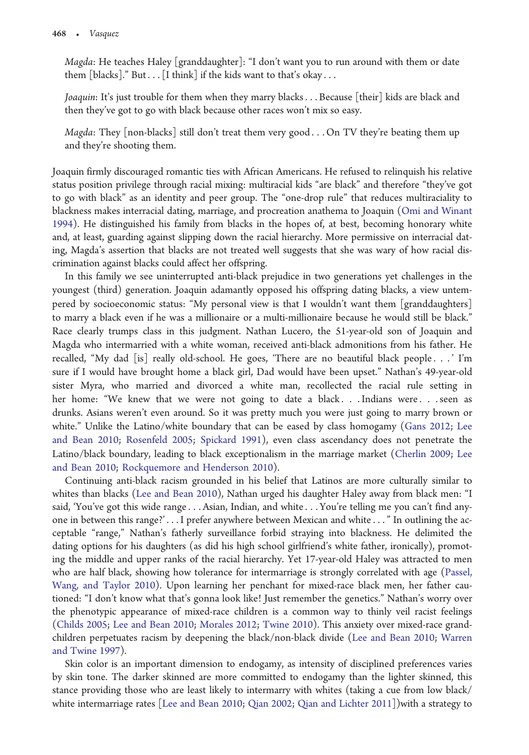Magda: He teaches Haley [granddaughter]: "I don't want you to run around with them or date them [blacks]." But . . . [I think] if the kids want to that's okay . . .

Joaquin: It's just trouble for them when they marry blacks . . . Because [their] kids are black and then they've got to go with black because other races won't mix so easy.

Magda: They [non-blacks] still don't treat them very good . . . On TV they're beating them up and they're shooting them.

Joaquin firmly discouraged romantic ties with African Americans. He refused to relinquish his relative status position privilege through racial mixing: multiracial kids "are black" and therefore "they've got to go with black" as an identity and peer group. The "one-drop rule" that reduces multiraciality to blackness makes interracial dating, marriage, and procreation anathema to Joaquin [\(Omi and Winant](#page-19-0) [1994\)](#page-19-0). He distinguished his family from blacks in the hopes of, at best, becoming honorary white and, at least, guarding against slipping down the racial hierarchy. More permissive on interracial dating, Magda's assertion that blacks are not treated well suggests that she was wary of how racial discrimination against blacks could affect her offspring.

In this family we see uninterrupted anti-black prejudice in two generations yet challenges in the youngest (third) generation. Joaquin adamantly opposed his offspring dating blacks, a view untempered by socioeconomic status: "My personal view is that I wouldn't want them [granddaughters] to marry a black even if he was a millionaire or a multi-millionaire because he would still be black." Race clearly trumps class in this judgment. Nathan Lucero, the 51-year-old son of Joaquin and Magda who intermarried with a white woman, received anti-black admonitions from his father. He recalled, "My dad [is] really old-school. He goes, 'There are no beautiful black people . . . ' I'm sure if I would have brought home a black girl, Dad would have been upset." Nathan's 49-year-old sister Myra, who married and divorced a white man, recollected the racial rule setting in her home: "We knew that we were not going to date a black . . . Indians were . . . seen as drunks. Asians weren't even around. So it was pretty much you were just going to marry brown or white." Unlike the Latino/white boundary that can be eased by class homogamy [\(Gans 2012;](#page-18-0) [Lee](#page-19-0) [and Bean 2010](#page-19-0); [Rosenfeld 2005](#page-20-0); [Spickard 1991\)](#page-20-0), even class ascendancy does not penetrate the Latino/black boundary, leading to black exceptionalism in the marriage market ([Cherlin 2009](#page-18-0); [Lee](#page-19-0) [and Bean 2010](#page-19-0); [Rockquemore and Henderson 2010\)](#page-19-0).

Continuing anti-black racism grounded in his belief that Latinos are more culturally similar to whites than blacks ([Lee and Bean 2010](#page-19-0)), Nathan urged his daughter Haley away from black men: "I said, 'You've got this wide range . . . Asian, Indian, and white . . . You're telling me you can't find anyone in between this range?' . . . I prefer anywhere between Mexican and white . . . " In outlining the acceptable "range," Nathan's fatherly surveillance forbid straying into blackness. He delimited the dating options for his daughters (as did his high school girlfriend's white father, ironically), promoting the middle and upper ranks of the racial hierarchy. Yet 17-year-old Haley was attracted to men who are half black, showing how tolerance for intermarriage is strongly correlated with age ([Passel,](#page-19-0) [Wang, and Taylor 2010](#page-19-0)). Upon learning her penchant for mixed-race black men, her father cautioned: "I don't know what that's gonna look like! Just remember the genetics." Nathan's worry over the phenotypic appearance of mixed-race children is a common way to thinly veil racist feelings [\(Childs 2005](#page-18-0); [Lee and Bean 2010;](#page-19-0) [Morales 2012](#page-19-0); [Twine 2010\)](#page-20-0). This anxiety over mixed-race grandchildren perpetuates racism by deepening the black/non-black divide [\(Lee and Bean 2010;](#page-19-0) [Warren](#page-20-0) [and Twine 1997\)](#page-20-0).

Skin color is an important dimension to endogamy, as intensity of disciplined preferences varies by skin tone. The darker skinned are more committed to endogamy than the lighter skinned, this stance providing those who are least likely to intermarry with whites (taking a cue from low black/ white intermarriage rates [[Lee and Bean 2010](#page-19-0); [Qian 2002;](#page-19-0) [Qian and Lichter 2011](#page-19-0)])with a strategy to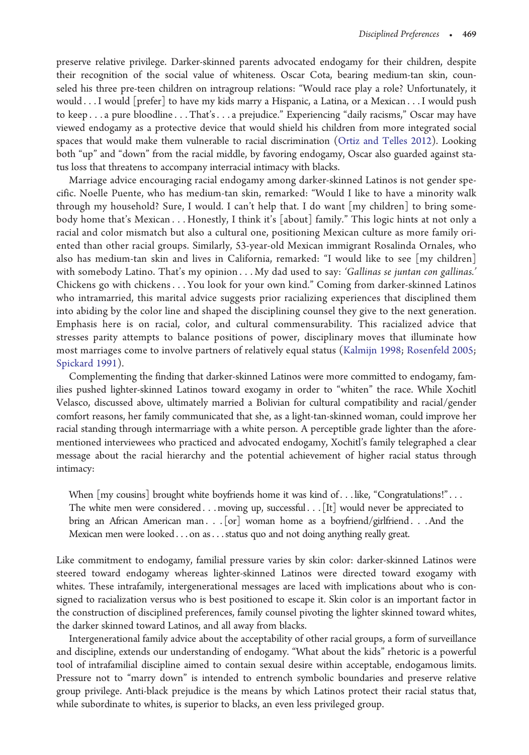preserve relative privilege. Darker-skinned parents advocated endogamy for their children, despite their recognition of the social value of whiteness. Oscar Cota, bearing medium-tan skin, counseled his three pre-teen children on intragroup relations: "Would race play a role? Unfortunately, it would . . . I would [prefer] to have my kids marry a Hispanic, a Latina, or a Mexican . . . I would push to keep . . . a pure bloodline . . . That's . . . a prejudice." Experiencing "daily racisms," Oscar may have viewed endogamy as a protective device that would shield his children from more integrated social spaces that would make them vulnerable to racial discrimination ([Ortiz and Telles 2012\)](#page-19-0). Looking both "up" and "down" from the racial middle, by favoring endogamy, Oscar also guarded against status loss that threatens to accompany interracial intimacy with blacks.

Marriage advice encouraging racial endogamy among darker-skinned Latinos is not gender specific. Noelle Puente, who has medium-tan skin, remarked: "Would I like to have a minority walk through my household? Sure, I would. I can't help that. I do want  $[my \text{ children}]$  to bring somebody home that's Mexican . . . Honestly, I think it's [about] family." This logic hints at not only a racial and color mismatch but also a cultural one, positioning Mexican culture as more family oriented than other racial groups. Similarly, 53-year-old Mexican immigrant Rosalinda Ornales, who also has medium-tan skin and lives in California, remarked: "I would like to see [my children] with somebody Latino. That's my opinion . . . My dad used to say: 'Gallinas se juntan con gallinas.' Chickens go with chickens . . . You look for your own kind." Coming from darker-skinned Latinos who intramarried, this marital advice suggests prior racializing experiences that disciplined them into abiding by the color line and shaped the disciplining counsel they give to the next generation. Emphasis here is on racial, color, and cultural commensurability. This racialized advice that stresses parity attempts to balance positions of power, disciplinary moves that illuminate how most marriages come to involve partners of relatively equal status ([Kalmijn 1998;](#page-18-0) [Rosenfeld 2005;](#page-20-0) [Spickard 1991\)](#page-20-0).

Complementing the finding that darker-skinned Latinos were more committed to endogamy, families pushed lighter-skinned Latinos toward exogamy in order to "whiten" the race. While Xochitl Velasco, discussed above, ultimately married a Bolivian for cultural compatibility and racial/gender comfort reasons, her family communicated that she, as a light-tan-skinned woman, could improve her racial standing through intermarriage with a white person. A perceptible grade lighter than the aforementioned interviewees who practiced and advocated endogamy, Xochitl's family telegraphed a clear message about the racial hierarchy and the potential achievement of higher racial status through intimacy:

When  $[my]$  cousins brought white boyfriends home it was kind of . . . like, "Congratulations!"... The white men were considered . . . moving up, successful . . . [It] would never be appreciated to bring an African American man. . . [or] woman home as a boyfriend/girlfriend. . . And the Mexican men were looked . . . on as . . . status quo and not doing anything really great.

Like commitment to endogamy, familial pressure varies by skin color: darker-skinned Latinos were steered toward endogamy whereas lighter-skinned Latinos were directed toward exogamy with whites. These intrafamily, intergenerational messages are laced with implications about who is consigned to racialization versus who is best positioned to escape it. Skin color is an important factor in the construction of disciplined preferences, family counsel pivoting the lighter skinned toward whites, the darker skinned toward Latinos, and all away from blacks.

Intergenerational family advice about the acceptability of other racial groups, a form of surveillance and discipline, extends our understanding of endogamy. "What about the kids" rhetoric is a powerful tool of intrafamilial discipline aimed to contain sexual desire within acceptable, endogamous limits. Pressure not to "marry down" is intended to entrench symbolic boundaries and preserve relative group privilege. Anti-black prejudice is the means by which Latinos protect their racial status that, while subordinate to whites, is superior to blacks, an even less privileged group.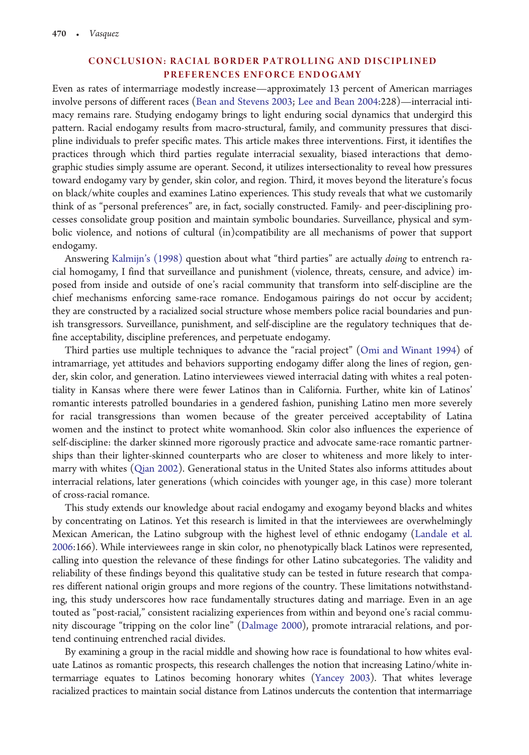# CONCLUSION: RACIAL BORDER PATROLLING AND DISCIPLINED PREFERENCES ENFORCE ENDOGAMY

Even as rates of intermarriage modestly increase—approximately 13 percent of American marriages involve persons of different races [\(Bean and Stevens 2003](#page-18-0); [Lee and Bean 2004:](#page-19-0)228)—interracial intimacy remains rare. Studying endogamy brings to light enduring social dynamics that undergird this pattern. Racial endogamy results from macro-structural, family, and community pressures that discipline individuals to prefer specific mates. This article makes three interventions. First, it identifies the practices through which third parties regulate interracial sexuality, biased interactions that demographic studies simply assume are operant. Second, it utilizes intersectionality to reveal how pressures toward endogamy vary by gender, skin color, and region. Third, it moves beyond the literature's focus on black/white couples and examines Latino experiences. This study reveals that what we customarily think of as "personal preferences" are, in fact, socially constructed. Family- and peer-disciplining processes consolidate group position and maintain symbolic boundaries. Surveillance, physical and symbolic violence, and notions of cultural (in)compatibility are all mechanisms of power that support endogamy.

Answering [Kalmijn's \(1998\)](#page-18-0) question about what "third parties" are actually *doing* to entrench racial homogamy, I find that surveillance and punishment (violence, threats, censure, and advice) imposed from inside and outside of one's racial community that transform into self-discipline are the chief mechanisms enforcing same-race romance. Endogamous pairings do not occur by accident; they are constructed by a racialized social structure whose members police racial boundaries and punish transgressors. Surveillance, punishment, and self-discipline are the regulatory techniques that define acceptability, discipline preferences, and perpetuate endogamy.

Third parties use multiple techniques to advance the "racial project" [\(Omi and Winant 1994](#page-19-0)) of intramarriage, yet attitudes and behaviors supporting endogamy differ along the lines of region, gender, skin color, and generation. Latino interviewees viewed interracial dating with whites a real potentiality in Kansas where there were fewer Latinos than in California. Further, white kin of Latinos' romantic interests patrolled boundaries in a gendered fashion, punishing Latino men more severely for racial transgressions than women because of the greater perceived acceptability of Latina women and the instinct to protect white womanhood. Skin color also influences the experience of self-discipline: the darker skinned more rigorously practice and advocate same-race romantic partnerships than their lighter-skinned counterparts who are closer to whiteness and more likely to intermarry with whites [\(Qian 2002](#page-19-0)). Generational status in the United States also informs attitudes about interracial relations, later generations (which coincides with younger age, in this case) more tolerant of cross-racial romance.

This study extends our knowledge about racial endogamy and exogamy beyond blacks and whites by concentrating on Latinos. Yet this research is limited in that the interviewees are overwhelmingly Mexican American, the Latino subgroup with the highest level of ethnic endogamy [\(Landale et al.](#page-19-0) [2006:](#page-19-0)166). While interviewees range in skin color, no phenotypically black Latinos were represented, calling into question the relevance of these findings for other Latino subcategories. The validity and reliability of these findings beyond this qualitative study can be tested in future research that compares different national origin groups and more regions of the country. These limitations notwithstanding, this study underscores how race fundamentally structures dating and marriage. Even in an age touted as "post-racial," consistent racializing experiences from within and beyond one's racial community discourage "tripping on the color line" [\(Dalmage 2000](#page-18-0)), promote intraracial relations, and portend continuing entrenched racial divides.

By examining a group in the racial middle and showing how race is foundational to how whites evaluate Latinos as romantic prospects, this research challenges the notion that increasing Latino/white intermarriage equates to Latinos becoming honorary whites ([Yancey 2003](#page-20-0)). That whites leverage racialized practices to maintain social distance from Latinos undercuts the contention that intermarriage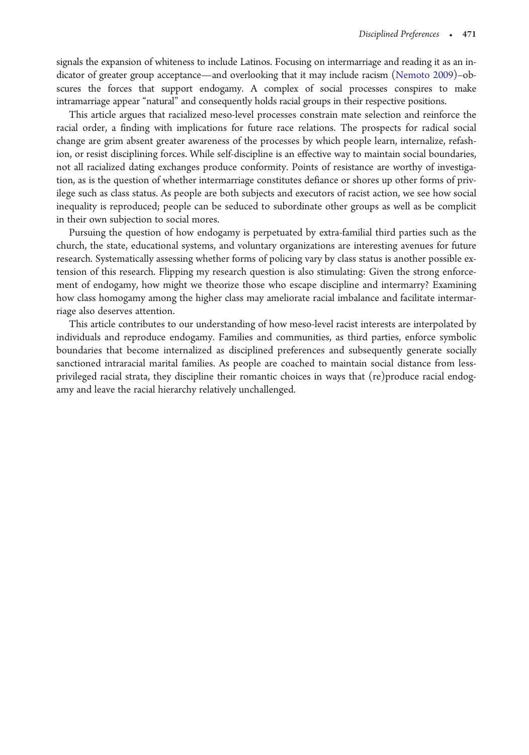signals the expansion of whiteness to include Latinos. Focusing on intermarriage and reading it as an indicator of greater group acceptance—and overlooking that it may include racism ([Nemoto 2009\)](#page-19-0)–obscures the forces that support endogamy. A complex of social processes conspires to make intramarriage appear "natural" and consequently holds racial groups in their respective positions.

This article argues that racialized meso-level processes constrain mate selection and reinforce the racial order, a finding with implications for future race relations. The prospects for radical social change are grim absent greater awareness of the processes by which people learn, internalize, refashion, or resist disciplining forces. While self-discipline is an effective way to maintain social boundaries, not all racialized dating exchanges produce conformity. Points of resistance are worthy of investigation, as is the question of whether intermarriage constitutes defiance or shores up other forms of privilege such as class status. As people are both subjects and executors of racist action, we see how social inequality is reproduced; people can be seduced to subordinate other groups as well as be complicit in their own subjection to social mores.

Pursuing the question of how endogamy is perpetuated by extra-familial third parties such as the church, the state, educational systems, and voluntary organizations are interesting avenues for future research. Systematically assessing whether forms of policing vary by class status is another possible extension of this research. Flipping my research question is also stimulating: Given the strong enforcement of endogamy, how might we theorize those who escape discipline and intermarry? Examining how class homogamy among the higher class may ameliorate racial imbalance and facilitate intermarriage also deserves attention.

This article contributes to our understanding of how meso-level racist interests are interpolated by individuals and reproduce endogamy. Families and communities, as third parties, enforce symbolic boundaries that become internalized as disciplined preferences and subsequently generate socially sanctioned intraracial marital families. As people are coached to maintain social distance from lessprivileged racial strata, they discipline their romantic choices in ways that (re)produce racial endogamy and leave the racial hierarchy relatively unchallenged.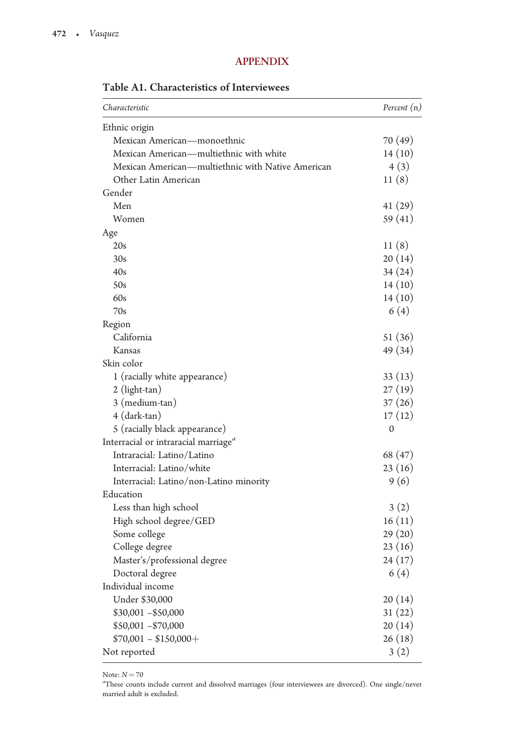# APPENDIX

<span id="page-17-0"></span>Table A1. Characteristics of Interviewees

| Characteristic                                    | Percent (n)  |
|---------------------------------------------------|--------------|
| Ethnic origin                                     |              |
| Mexican American—monoethnic                       | 70 (49)      |
| Mexican American—multiethnic with white           | 14(10)       |
| Mexican American—multiethnic with Native American | 4(3)         |
| Other Latin American                              | 11(8)        |
| Gender                                            |              |
| Men                                               | 41(29)       |
| Women                                             | 59(41)       |
| Age                                               |              |
| 20s                                               | 11(8)        |
| 30s                                               | 20(14)       |
| 40s                                               | 34(24)       |
| 50s                                               | 14(10)       |
| 60s                                               | 14(10)       |
| 70s                                               | 6(4)         |
| Region                                            |              |
| California                                        | 51(36)       |
| Kansas                                            | 49 (34)      |
| Skin color                                        |              |
| 1 (racially white appearance)                     | 33(13)       |
| 2 (light-tan)                                     | 27(19)       |
| 3 (medium-tan)                                    | 37(26)       |
| 4 (dark-tan)                                      | 17(12)       |
| 5 (racially black appearance)                     | $\mathbf{0}$ |
| Interracial or intraracial marriage <sup>a</sup>  |              |
| Intraracial: Latino/Latino                        | 68 (47)      |
| Interracial: Latino/white                         | 23(16)       |
| Interracial: Latino/non-Latino minority           | 9(6)         |
| Education                                         |              |
| Less than high school                             | 3(2)         |
| High school degree/GED                            | 16(11)       |
| Some college                                      | 29(20)       |
| College degree                                    | 23(16)       |
| Master's/professional degree                      | 24(17)       |
| Doctoral degree                                   | 6(4)         |
| Individual income                                 |              |
| Under \$30,000                                    | 20(14)       |
| $$30,001 - $50,000$                               | 31(22)       |
| \$50,001 - \$70,000                               | 20(14)       |
| $$70,001 - $150,000+$                             | 26(18)       |
| Not reported                                      | 3(2)         |

Note:  $N = 70$ <br>"These counts include current and dissolved marriages (four interviewees are divorced). One single/never married adult is excluded.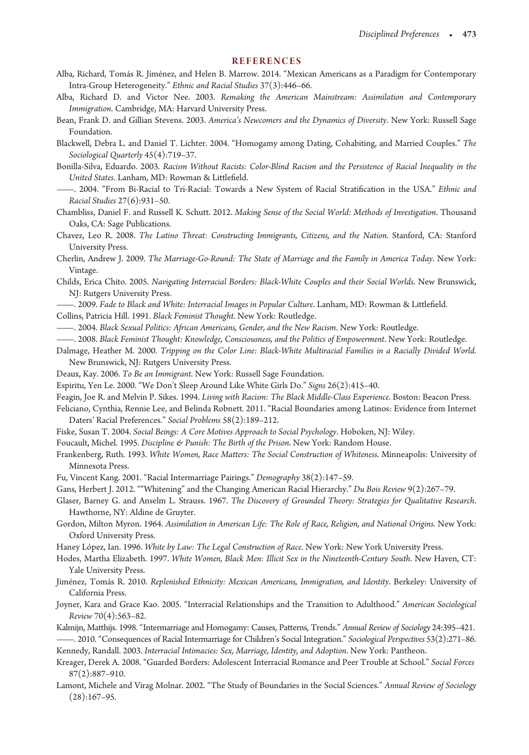#### REFERENCES

- <span id="page-18-0"></span>Alba, Richard, Tomás R. Jiménez, and Helen B. Marrow. 2014. "Mexican Americans as a Paradigm for Contemporary Intra-Group Heterogeneity." Ethnic and Racial Studies 37(3):446–66.
- Alba, Richard D. and Victor Nee. 2003. Remaking the American Mainstream: Assimilation and Contemporary Immigration. Cambridge, MA: Harvard University Press.

Bean, Frank D. and Gillian Stevens. 2003. America's Newcomers and the Dynamics of Diversity. New York: Russell Sage Foundation.

Blackwell, Debra L. and Daniel T. Lichter. 2004. "Homogamy among Dating, Cohabiting, and Married Couples." The Sociological Quarterly 45(4):719–37.

Bonilla-Silva, Eduardo. 2003. Racism Without Racists: Color-Blind Racism and the Persistence of Racial Inequality in the United States. Lanham, MD: Rowman & Littlefield.

-. 2004. "From Bi-Racial to Tri-Racial: Towards a New System of Racial Stratification in the USA." Ethnic and Racial Studies 27(6):931–50.

Chambliss, Daniel F. and Russell K. Schutt. 2012. Making Sense of the Social World: Methods of Investigation. Thousand Oaks, CA: Sage Publications.

Chavez, Leo R. 2008. The Latino Threat: Constructing Immigrants, Citizens, and the Nation. Stanford, CA: Stanford University Press.

Cherlin, Andrew J. 2009. The Marriage-Go-Round: The State of Marriage and the Family in America Today. New York: Vintage.

Childs, Erica Chito. 2005. Navigating Interracial Borders: Black-White Couples and their Social Worlds. New Brunswick, NJ: Rutgers University Press.

——. 2009. Fade to Black and White: Interracial Images in Popular Culture. Lanham, MD: Rowman & Littlefield.

Collins, Patricia Hill. 1991. Black Feminist Thought. New York: Routledge.

——. 2004. Black Sexual Politics: African Americans, Gender, and the New Racism. New York: Routledge.

——. 2008. Black Feminist Thought: Knowledge, Consciousness, and the Politics of Empowerment. New York: Routledge.

Dalmage, Heather M. 2000. Tripping on the Color Line: Black-White Multiracial Families in a Racially Divided World. New Brunswick, NJ: Rutgers University Press.

Deaux, Kay. 2006. To Be an Immigrant. New York: Russell Sage Foundation.

Espiritu, Yen Le. 2000. "We Don't Sleep Around Like White Girls Do." Signs 26(2):415–40.

Feagin, Joe R. and Melvin P. Sikes. 1994. Living with Racism: The Black Middle-Class Experience. Boston: Beacon Press.

Feliciano, Cynthia, Rennie Lee, and Belinda Robnett. 2011. "Racial Boundaries among Latinos: Evidence from Internet Daters' Racial Preferences." Social Problems 58(2):189–212.

Fiske, Susan T. 2004. Social Beings: A Core Motives Approach to Social Psychology. Hoboken, NJ: Wiley.

Foucault, Michel. 1995. Discipline & Punish: The Birth of the Prison. New York: Random House.

Frankenberg, Ruth. 1993. White Women, Race Matters: The Social Construction of Whiteness. Minneapolis: University of Minnesota Press.

Fu, Vincent Kang. 2001. "Racial Intermarriage Pairings." Demography 38(2):147–59.

Gans, Herbert J. 2012. ""Whitening" and the Changing American Racial Hierarchy." Du Bois Review 9(2):267–79.

Glaser, Barney G. and Anselm L. Strauss. 1967. The Discovery of Grounded Theory: Strategies for Qualitative Research. Hawthorne, NY: Aldine de Gruyter.

Gordon, Milton Myron. 1964. Assimilation in American Life: The Role of Race, Religion, and National Origins. New York: Oxford University Press.

Haney López, Ian. 1996. White by Law: The Legal Construction of Race. New York: New York University Press.

Hodes, Martha Elizabeth. 1997. White Women, Black Men: Illicit Sex in the Nineteenth-Century South. New Haven, CT: Yale University Press.

Jiménez, Tomás R. 2010. Replenished Ethnicity: Mexican Americans, Immigration, and Identity. Berkeley: University of California Press.

Joyner, Kara and Grace Kao. 2005. "Interracial Relationships and the Transition to Adulthood." American Sociological Review 70(4):563–82.

Kalmijn, Matthijs. 1998. "Intermarriage and Homogamy: Causes, Patterns, Trends." Annual Review of Sociology 24:395–421.

——. 2010. "Consequences of Racial Intermarriage for Children's Social Integration." Sociological Perspectives 53(2):271–86. Kennedy, Randall. 2003. Interracial Intimacies: Sex, Marriage, Identity, and Adoption. New York: Pantheon.

Kreager, Derek A. 2008. "Guarded Borders: Adolescent Interracial Romance and Peer Trouble at School." Social Forces 87(2):887–910.

Lamont, Michele and Virag Molnar. 2002. "The Study of Boundaries in the Social Sciences." Annual Review of Sociology  $(28):167-95.$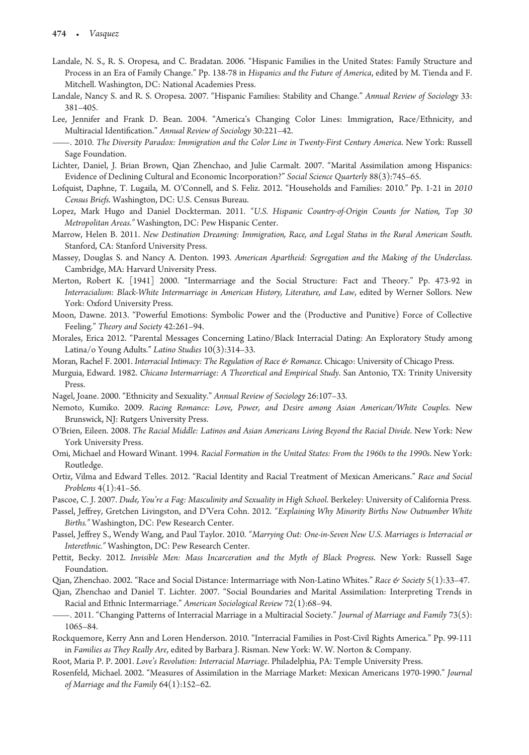- <span id="page-19-0"></span>Landale, N. S., R. S. Oropesa, and C. Bradatan. 2006. "Hispanic Families in the United States: Family Structure and Process in an Era of Family Change." Pp. 138-78 in Hispanics and the Future of America, edited by M. Tienda and F. Mitchell. Washington, DC: National Academies Press.
- Landale, Nancy S. and R. S. Oropesa. 2007. "Hispanic Families: Stability and Change." Annual Review of Sociology 33: 381–405.
- Lee, Jennifer and Frank D. Bean. 2004. "America's Changing Color Lines: Immigration, Race/Ethnicity, and Multiracial Identification." Annual Review of Sociology 30:221–42.
- ——. 2010. The Diversity Paradox: Immigration and the Color Line in Twenty-First Century America. New York: Russell Sage Foundation.
- Lichter, Daniel, J. Brian Brown, Qian Zhenchao, and Julie Carmalt. 2007. "Marital Assimilation among Hispanics: Evidence of Declining Cultural and Economic Incorporation?" Social Science Quarterly 88(3):745–65.
- Lofquist, Daphne, T. Lugaila, M. O'Connell, and S. Feliz. 2012. "Households and Families: 2010." Pp. 1-21 in 2010 Census Briefs. Washington, DC: U.S. Census Bureau.
- Lopez, Mark Hugo and Daniel Dockterman. 2011. "U.S. Hispanic Country-of-Origin Counts for Nation, Top 30 Metropolitan Areas." Washington, DC: Pew Hispanic Center.
- Marrow, Helen B. 2011. New Destination Dreaming: Immigration, Race, and Legal Status in the Rural American South. Stanford, CA: Stanford University Press.
- Massey, Douglas S. and Nancy A. Denton. 1993. American Apartheid: Segregation and the Making of the Underclass. Cambridge, MA: Harvard University Press.
- Merton, Robert K. [1941] 2000. "Intermarriage and the Social Structure: Fact and Theory." Pp. 473-92 in Interracialism: Black-White Intermarriage in American History, Literature, and Law, edited by Werner Sollors. New York: Oxford University Press.
- Moon, Dawne. 2013. "Powerful Emotions: Symbolic Power and the (Productive and Punitive) Force of Collective Feeling." Theory and Society 42:261–94.
- Morales, Erica 2012. "Parental Messages Concerning Latino/Black Interracial Dating: An Exploratory Study among Latina/o Young Adults." Latino Studies 10(3):314–33.
- Moran, Rachel F. 2001. Interracial Intimacy: The Regulation of Race & Romance. Chicago: University of Chicago Press.
- Murguia, Edward. 1982. Chicano Intermarriage: A Theoretical and Empirical Study. San Antonio, TX: Trinity University Press.
- Nagel, Joane. 2000. "Ethnicity and Sexuality." Annual Review of Sociology 26:107–33.
- Nemoto, Kumiko. 2009. Racing Romance: Love, Power, and Desire among Asian American/White Couples. New Brunswick, NJ: Rutgers University Press.
- O'Brien, Eileen. 2008. The Racial Middle: Latinos and Asian Americans Living Beyond the Racial Divide. New York: New York University Press.
- Omi, Michael and Howard Winant. 1994. Racial Formation in the United States: From the 1960s to the 1990s. New York: Routledge.
- Ortiz, Vilma and Edward Telles. 2012. "Racial Identity and Racial Treatment of Mexican Americans." Race and Social Problems 4(1):41–56.
- Pascoe, C. J. 2007. Dude, You're a Fag: Masculinity and Sexuality in High School. Berkeley: University of California Press.
- Passel, Jeffrey, Gretchen Livingston, and D'Vera Cohn. 2012. "Explaining Why Minority Births Now Outnumber White Births." Washington, DC: Pew Research Center.
- Passel, Jeffrey S., Wendy Wang, and Paul Taylor. 2010. "Marrying Out: One-in-Seven New U.S. Marriages is Interracial or Interethnic." Washington, DC: Pew Research Center.
- Pettit, Becky. 2012. Invisible Men: Mass Incarceration and the Myth of Black Progress. New York: Russell Sage Foundation.
- Qian, Zhenchao. 2002. "Race and Social Distance: Intermarriage with Non-Latino Whites." Race & Society 5(1):33–47.
- Qian, Zhenchao and Daniel T. Lichter. 2007. "Social Boundaries and Marital Assimilation: Interpreting Trends in Racial and Ethnic Intermarriage." American Sociological Review 72(1):68–94.
- –. 2011. "Changing Patterns of Interracial Marriage in a Multiracial Society." *Journal of Marriage and Family 73(5)*: 1065–84.
- Rockquemore, Kerry Ann and Loren Henderson. 2010. "Interracial Families in Post-Civil Rights America." Pp. 99-111 in Families as They Really Are, edited by Barbara J. Risman. New York: W. W. Norton & Company.

Root, Maria P. P. 2001. Love's Revolution: Interracial Marriage. Philadelphia, PA: Temple University Press.

Rosenfeld, Michael. 2002. "Measures of Assimilation in the Marriage Market: Mexican Americans 1970-1990." Journal of Marriage and the Family 64(1):152–62.